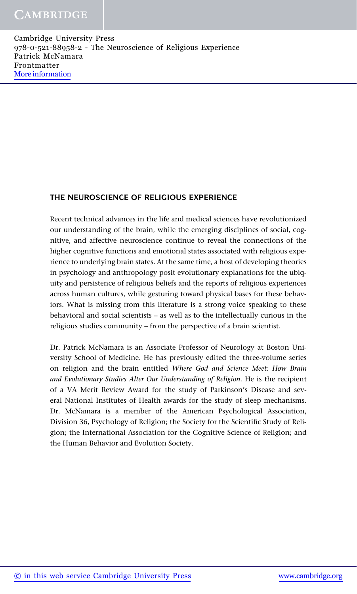#### **THE NEUROSCIENCE OF RELIGIOUS EXPERIENCE**

Recent technical advances in the life and medical sciences have revolutionized our understanding of the brain, while the emerging disciplines of social, cognitive, and affective neuroscience continue to reveal the connections of the higher cognitive functions and emotional states associated with religious experience to underlying brain states. At the same time, a host of developing theories in psychology and anthropology posit evolutionary explanations for the ubiquity and persistence of religious beliefs and the reports of religious experiences across human cultures, while gesturing toward physical bases for these behaviors. What is missing from this literature is a strong voice speaking to these behavioral and social scientists – as well as to the intellectually curious in the religious studies community – from the perspective of a brain scientist.

Dr. Patrick McNamara is an Associate Professor of Neurology at Boston University School of Medicine. He has previously edited the three-volume series on religion and the brain entitled *Where God and Science Meet: How Brain and Evolutionary Studies Alter Our Understanding of Religion*. He is the recipient of a VA Merit Review Award for the study of Parkinson's Disease and several National Institutes of Health awards for the study of sleep mechanisms. Dr. McNamara is a member of the American Psychological Association, Division 36, Psychology of Religion; the Society for the Scientific Study of Religion; the International Association for the Cognitive Science of Religion; and the Human Behavior and Evolution Society.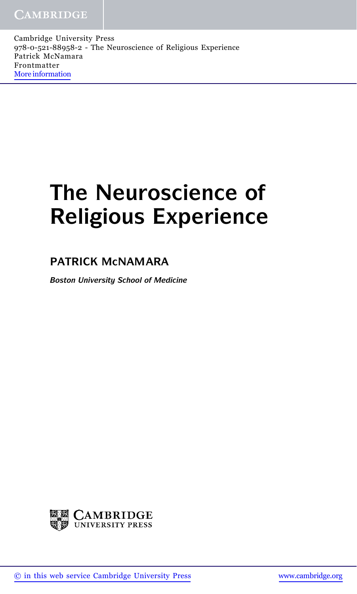# **The Neuroscience of Religious Experience**

### **PATRICK McNAMARA**

*Boston University School of Medicine*

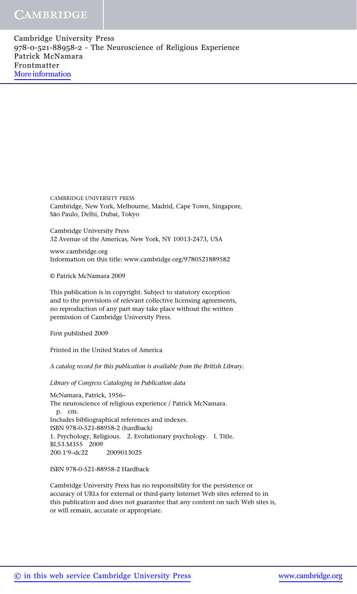Cambridge University Press 978-0-521-88958-2 - The Neuroscience of Religious Experience Patrick McNamara Frontmatter [More information](http://www.cambridge.org/9780521889582)

> CAMBRIDGE UNIVERSITY PRESS Cambridge, New York, Melbourne, Madrid, Cape Town, Singapore, São Paulo, Delhi, Dubai, Tokyo

Cambridge University Press 32 Avenue of the Americas, New York, NY 10013-2473, USA

www.cambridge.org Information on this title: www.cambridge.org/9780521889582

© Patrick McNamara 2009

This publication is in copyright. Subject to statutory exception and to the provisions of relevant collective licensing agreements, no reproduction of any part may take place without the written permission of Cambridge University Press.

First published 2009

Printed in the United States of America

*A catalog record for this publication is available from the British Library.*

*Library of Congress Cataloging in Publication data*

McNamara, Patrick, 1956– The neuroscience of religious experience / Patrick McNamara. p. cm. Includes bibliographical references and indexes. ISBN 978-0-521-88958-2 (hardback) 1. Psychology, Religious. 2. Evolutionary psychology. I. Title. BL53.M355 2009 200.1'9-dc22 2009013025

ISBN 978-0-521-88958-2 Hardback

Cambridge University Press has no responsibility for the persistence or accuracy of URLs for external or third-party Internet Web sites referred to in this publication and does not guarantee that any content on such Web sites is, or will remain, accurate or appropriate.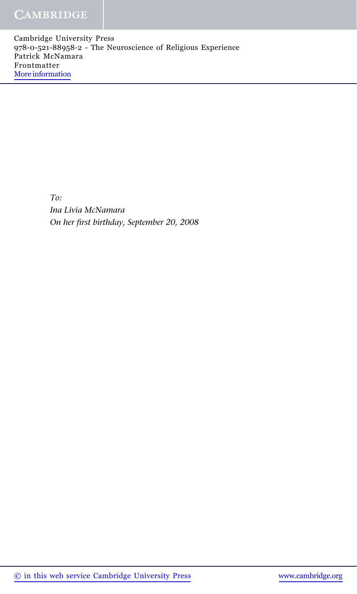Cambridge University Press 978-0-521-88958-2 - The Neuroscience of Religious Experience Patrick McNamara Frontmatter [More information](http://www.cambridge.org/9780521889582)

*To:*

*Ina Livia McNamara On her first birthday, September 20, 2008*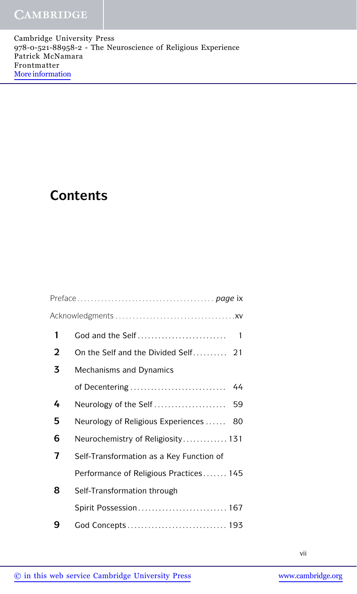## **Contents**

| 1              | God and the Self<br>-1                   |
|----------------|------------------------------------------|
| $\overline{2}$ | On the Self and the Divided Self<br>21   |
| 3              | Mechanisms and Dynamics                  |
|                | of Decentering<br>44                     |
| 4              | 59<br>Neurology of the Self              |
| 5              | Neurology of Religious Experiences<br>80 |
| 6              | Neurochemistry of Religiosity 131        |
| 7              | Self-Transformation as a Key Function of |
|                | Performance of Religious Practices 145   |
| 8              | Self-Transformation through              |
|                | Spirit Possession 167                    |
| 9              |                                          |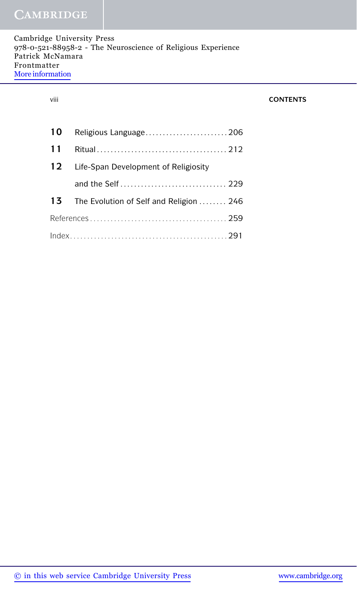| Cambridge University Press                                   |  |
|--------------------------------------------------------------|--|
| 978-0-521-88958-2 - The Neuroscience of Religious Experience |  |
| Patrick McNamara                                             |  |
| Frontmatter                                                  |  |
| More information                                             |  |

#### viii **CONTENTS**

| 10 <sup>°</sup> | Religious Language206                   |  |
|-----------------|-----------------------------------------|--|
| 11              |                                         |  |
| 12              | Life-Span Development of Religiosity    |  |
|                 |                                         |  |
| 13              | The Evolution of Self and Religion  246 |  |
|                 |                                         |  |
|                 |                                         |  |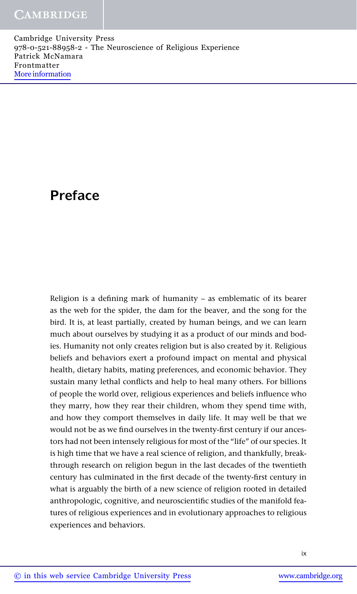### **Preface**

Religion is a defining mark of humanity – as emblematic of its bearer as the web for the spider, the dam for the beaver, and the song for the bird. It is, at least partially, created by human beings, and we can learn much about ourselves by studying it as a product of our minds and bodies. Humanity not only creates religion but is also created by it. Religious beliefs and behaviors exert a profound impact on mental and physical health, dietary habits, mating preferences, and economic behavior. They sustain many lethal conflicts and help to heal many others. For billions of people the world over, religious experiences and beliefs influence who they marry, how they rear their children, whom they spend time with, and how they comport themselves in daily life. It may well be that we would not be as we find ourselves in the twenty-first century if our ancestors had not been intensely religious for most of the "life" of our species. It is high time that we have a real science of religion, and thankfully, breakthrough research on religion begun in the last decades of the twentieth century has culminated in the first decade of the twenty-first century in what is arguably the birth of a new science of religion rooted in detailed anthropologic, cognitive, and neuroscientific studies of the manifold features of religious experiences and in evolutionary approaches to religious experiences and behaviors.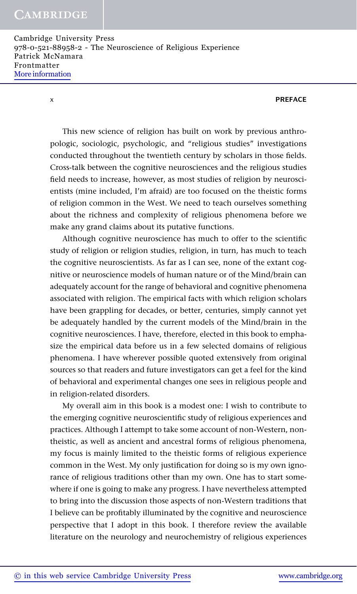Cambridge University Press 978-0-521-88958-2 - The Neuroscience of Religious Experience Patrick McNamara Frontmatter [More information](http://www.cambridge.org/9780521889582)

#### x **PREFACE**

This new science of religion has built on work by previous anthropologic, sociologic, psychologic, and "religious studies" investigations conducted throughout the twentieth century by scholars in those fields. Cross-talk between the cognitive neurosciences and the religious studies field needs to increase, however, as most studies of religion by neuroscientists (mine included, I'm afraid) are too focused on the theistic forms of religion common in the West. We need to teach ourselves something about the richness and complexity of religious phenomena before we make any grand claims about its putative functions.

Although cognitive neuroscience has much to offer to the scientific study of religion or religion studies, religion, in turn, has much to teach the cognitive neuroscientists. As far as I can see, none of the extant cognitive or neuroscience models of human nature or of the Mind/brain can adequately account for the range of behavioral and cognitive phenomena associated with religion. The empirical facts with which religion scholars have been grappling for decades, or better, centuries, simply cannot yet be adequately handled by the current models of the Mind/brain in the cognitive neurosciences. I have, therefore, elected in this book to emphasize the empirical data before us in a few selected domains of religious phenomena. I have wherever possible quoted extensively from original sources so that readers and future investigators can get a feel for the kind of behavioral and experimental changes one sees in religious people and in religion-related disorders.

My overall aim in this book is a modest one: I wish to contribute to the emerging cognitive neuroscientific study of religious experiences and practices. Although I attempt to take some account of non-Western, nontheistic, as well as ancient and ancestral forms of religious phenomena, my focus is mainly limited to the theistic forms of religious experience common in the West. My only justification for doing so is my own ignorance of religious traditions other than my own. One has to start somewhere if one is going to make any progress. I have nevertheless attempted to bring into the discussion those aspects of non-Western traditions that I believe can be profitably illuminated by the cognitive and neuroscience perspective that I adopt in this book. I therefore review the available literature on the neurology and neurochemistry of religious experiences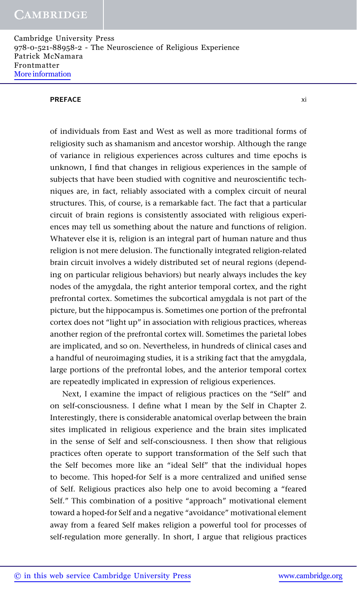#### **PREFACE** xi

of individuals from East and West as well as more traditional forms of religiosity such as shamanism and ancestor worship. Although the range of variance in religious experiences across cultures and time epochs is unknown, I find that changes in religious experiences in the sample of subjects that have been studied with cognitive and neuroscientific techniques are, in fact, reliably associated with a complex circuit of neural structures. This, of course, is a remarkable fact. The fact that a particular circuit of brain regions is consistently associated with religious experiences may tell us something about the nature and functions of religion. Whatever else it is, religion is an integral part of human nature and thus religion is not mere delusion. The functionally integrated religion-related brain circuit involves a widely distributed set of neural regions (depending on particular religious behaviors) but nearly always includes the key nodes of the amygdala, the right anterior temporal cortex, and the right prefrontal cortex. Sometimes the subcortical amygdala is not part of the picture, but the hippocampus is. Sometimes one portion of the prefrontal cortex does not "light up" in association with religious practices, whereas another region of the prefrontal cortex will. Sometimes the parietal lobes are implicated, and so on. Nevertheless, in hundreds of clinical cases and a handful of neuroimaging studies, it is a striking fact that the amygdala, large portions of the prefrontal lobes, and the anterior temporal cortex are repeatedly implicated in expression of religious experiences.

Next, I examine the impact of religious practices on the "Self" and on self-consciousness. I define what I mean by the Self in Chapter 2. Interestingly, there is considerable anatomical overlap between the brain sites implicated in religious experience and the brain sites implicated in the sense of Self and self-consciousness. I then show that religious practices often operate to support transformation of the Self such that the Self becomes more like an "ideal Self" that the individual hopes to become. This hoped-for Self is a more centralized and unified sense of Self. Religious practices also help one to avoid becoming a "feared Self." This combination of a positive "approach" motivational element toward a hoped-for Self and a negative "avoidance" motivational element away from a feared Self makes religion a powerful tool for processes of self-regulation more generally. In short, I argue that religious practices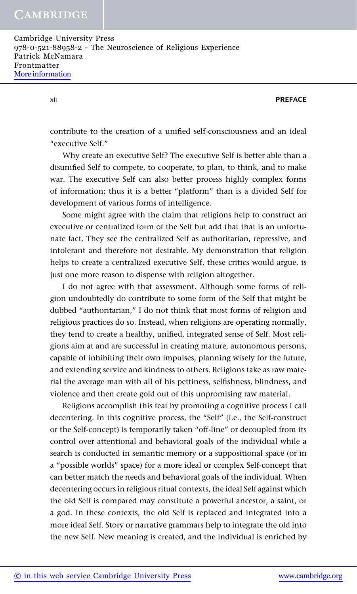xii **PREFACE**

contribute to the creation of a unified self-consciousness and an ideal "executive Self."

Why create an executive Self? The executive Self is better able than a disunified Self to compete, to cooperate, to plan, to think, and to make war. The executive Self can also better process highly complex forms of information; thus it is a better "platform" than is a divided Self for development of various forms of intelligence.

Some might agree with the claim that religions help to construct an executive or centralized form of the Self but add that that is an unfortunate fact. They see the centralized Self as authoritarian, repressive, and intolerant and therefore not desirable. My demonstration that religion helps to create a centralized executive Self, these critics would argue, is just one more reason to dispense with religion altogether.

I do not agree with that assessment. Although some forms of religion undoubtedly do contribute to some form of the Self that might be dubbed "authoritarian," I do not think that most forms of religion and religious practices do so. Instead, when religions are operating normally, they tend to create a healthy, unified, integrated sense of Self. Most religions aim at and are successful in creating mature, autonomous persons, capable of inhibiting their own impulses, planning wisely for the future, and extending service and kindness to others. Religions take as raw material the average man with all of his pettiness, selfishness, blindness, and violence and then create gold out of this unpromising raw material.

Religions accomplish this feat by promoting a cognitive process I call decentering. In this cognitive process, the "Self" (i.e., the Self-construct or the Self-concept) is temporarily taken "off-line" or decoupled from its control over attentional and behavioral goals of the individual while a search is conducted in semantic memory or a suppositional space (or in a "possible worlds" space) for a more ideal or complex Self-concept that can better match the needs and behavioral goals of the individual. When decentering occurs in religious ritual contexts, the ideal Self against which the old Self is compared may constitute a powerful ancestor, a saint, or a god. In these contexts, the old Self is replaced and integrated into a more ideal Self. Story or narrative grammars help to integrate the old into the new Self. New meaning is created, and the individual is enriched by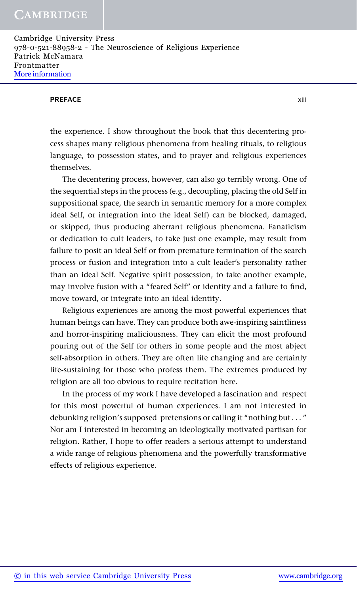#### **PREFACE** xiii

the experience. I show throughout the book that this decentering process shapes many religious phenomena from healing rituals, to religious language, to possession states, and to prayer and religious experiences themselves.

The decentering process, however, can also go terribly wrong. One of the sequential steps in the process (e.g., decoupling, placing the old Self in suppositional space, the search in semantic memory for a more complex ideal Self, or integration into the ideal Self) can be blocked, damaged, or skipped, thus producing aberrant religious phenomena. Fanaticism or dedication to cult leaders, to take just one example, may result from failure to posit an ideal Self or from premature termination of the search process or fusion and integration into a cult leader's personality rather than an ideal Self. Negative spirit possession, to take another example, may involve fusion with a "feared Self" or identity and a failure to find, move toward, or integrate into an ideal identity.

Religious experiences are among the most powerful experiences that human beings can have. They can produce both awe-inspiring saintliness and horror-inspiring maliciousness. They can elicit the most profound pouring out of the Self for others in some people and the most abject self-absorption in others. They are often life changing and are certainly life-sustaining for those who profess them. The extremes produced by religion are all too obvious to require recitation here.

In the process of my work I have developed a fascination and respect for this most powerful of human experiences. I am not interested in debunking religion's supposed pretensions or calling it "nothing but . . . " Nor am I interested in becoming an ideologically motivated partisan for religion. Rather, I hope to offer readers a serious attempt to understand a wide range of religious phenomena and the powerfully transformative effects of religious experience.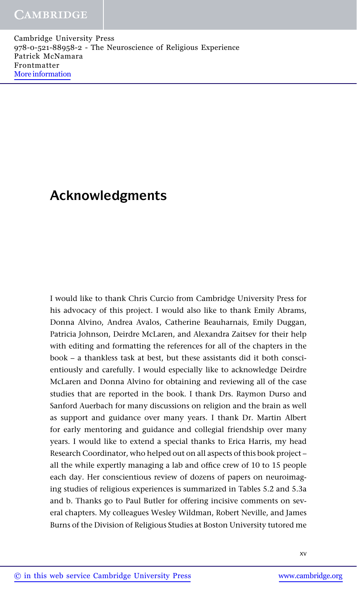### **Acknowledgments**

I would like to thank Chris Curcio from Cambridge University Press for his advocacy of this project. I would also like to thank Emily Abrams, Donna Alvino, Andrea Avalos, Catherine Beauharnais, Emily Duggan, Patricia Johnson, Deirdre McLaren, and Alexandra Zaitsev for their help with editing and formatting the references for all of the chapters in the book – a thankless task at best, but these assistants did it both conscientiously and carefully. I would especially like to acknowledge Deirdre McLaren and Donna Alvino for obtaining and reviewing all of the case studies that are reported in the book. I thank Drs. Raymon Durso and Sanford Auerbach for many discussions on religion and the brain as well as support and guidance over many years. I thank Dr. Martin Albert for early mentoring and guidance and collegial friendship over many years. I would like to extend a special thanks to Erica Harris, my head Research Coordinator, who helped out on all aspects of this book project – all the while expertly managing a lab and office crew of 10 to 15 people each day. Her conscientious review of dozens of papers on neuroimaging studies of religious experiences is summarized in Tables 5.2 and 5.3a and b. Thanks go to Paul Butler for offering incisive comments on several chapters. My colleagues Wesley Wildman, Robert Neville, and James Burns of the Division of Religious Studies at Boston University tutored me